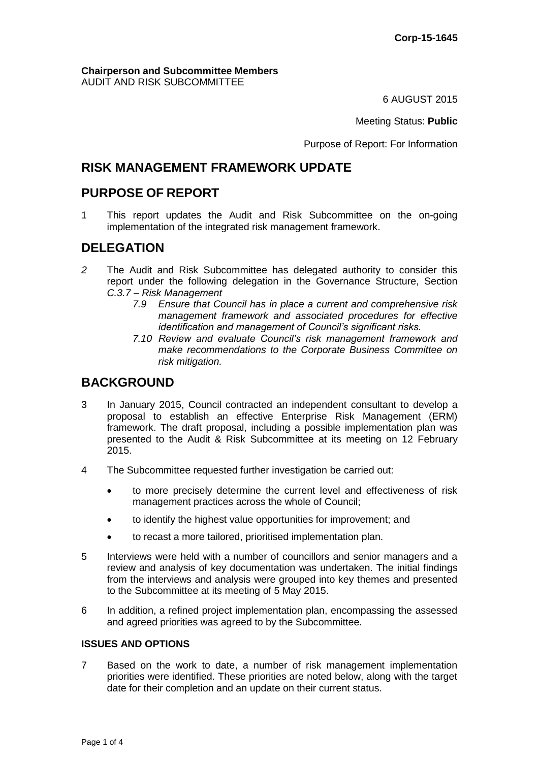#### **Chairperson and Subcommittee Members** AUDIT AND RISK SUBCOMMITTEE

6 AUGUST 2015

Meeting Status: **Public**

Purpose of Report: For Information

## **RISK MANAGEMENT FRAMEWORK UPDATE**

# **PURPOSE OF REPORT**

1 This report updates the Audit and Risk Subcommittee on the on-going implementation of the integrated risk management framework.

# **DELEGATION**

- *2* The Audit and Risk Subcommittee has delegated authority to consider this report under the following delegation in the Governance Structure, Section *C.3.7 – Risk Management*
	- *7.9 Ensure that Council has in place a current and comprehensive risk management framework and associated procedures for effective identification and management of Council's significant risks.*
	- *7.10 Review and evaluate Council's risk management framework and make recommendations to the Corporate Business Committee on risk mitigation.*

# **BACKGROUND**

- 3 In January 2015, Council contracted an independent consultant to develop a proposal to establish an effective Enterprise Risk Management (ERM) framework. The draft proposal, including a possible implementation plan was presented to the Audit & Risk Subcommittee at its meeting on 12 February 2015.
- 4 The Subcommittee requested further investigation be carried out:
	- to more precisely determine the current level and effectiveness of risk management practices across the whole of Council;
	- to identify the highest value opportunities for improvement; and
	- to recast a more tailored, prioritised implementation plan.
- 5 Interviews were held with a number of councillors and senior managers and a review and analysis of key documentation was undertaken. The initial findings from the interviews and analysis were grouped into key themes and presented to the Subcommittee at its meeting of 5 May 2015.
- 6 In addition, a refined project implementation plan, encompassing the assessed and agreed priorities was agreed to by the Subcommittee.

### **ISSUES AND OPTIONS**

7 Based on the work to date, a number of risk management implementation priorities were identified. These priorities are noted below, along with the target date for their completion and an update on their current status.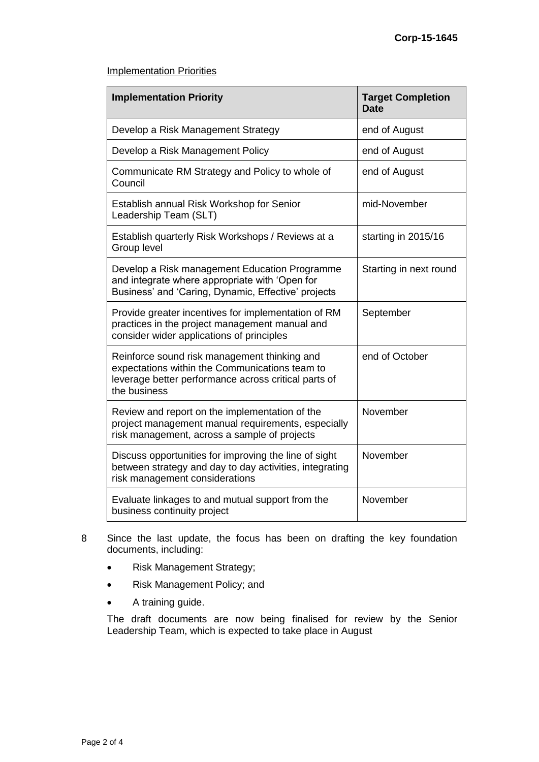#### Implementation Priorities

| <b>Implementation Priority</b>                                                                                                                                         | <b>Target Completion</b><br><b>Date</b> |
|------------------------------------------------------------------------------------------------------------------------------------------------------------------------|-----------------------------------------|
| Develop a Risk Management Strategy                                                                                                                                     | end of August                           |
| Develop a Risk Management Policy                                                                                                                                       | end of August                           |
| Communicate RM Strategy and Policy to whole of<br>Council                                                                                                              | end of August                           |
| Establish annual Risk Workshop for Senior<br>Leadership Team (SLT)                                                                                                     | mid-November                            |
| Establish quarterly Risk Workshops / Reviews at a<br>Group level                                                                                                       | starting in 2015/16                     |
| Develop a Risk management Education Programme<br>and integrate where appropriate with 'Open for<br>Business' and 'Caring, Dynamic, Effective' projects                 | Starting in next round                  |
| Provide greater incentives for implementation of RM<br>practices in the project management manual and<br>consider wider applications of principles                     | September                               |
| Reinforce sound risk management thinking and<br>expectations within the Communications team to<br>leverage better performance across critical parts of<br>the business | end of October                          |
| Review and report on the implementation of the<br>project management manual requirements, especially<br>risk management, across a sample of projects                   | November                                |
| Discuss opportunities for improving the line of sight<br>between strategy and day to day activities, integrating<br>risk management considerations                     | November                                |
| Evaluate linkages to and mutual support from the<br>business continuity project                                                                                        | November                                |

- 8 Since the last update, the focus has been on drafting the key foundation documents, including:
	- Risk Management Strategy;
	- Risk Management Policy; and
	- A training guide.

The draft documents are now being finalised for review by the Senior Leadership Team, which is expected to take place in August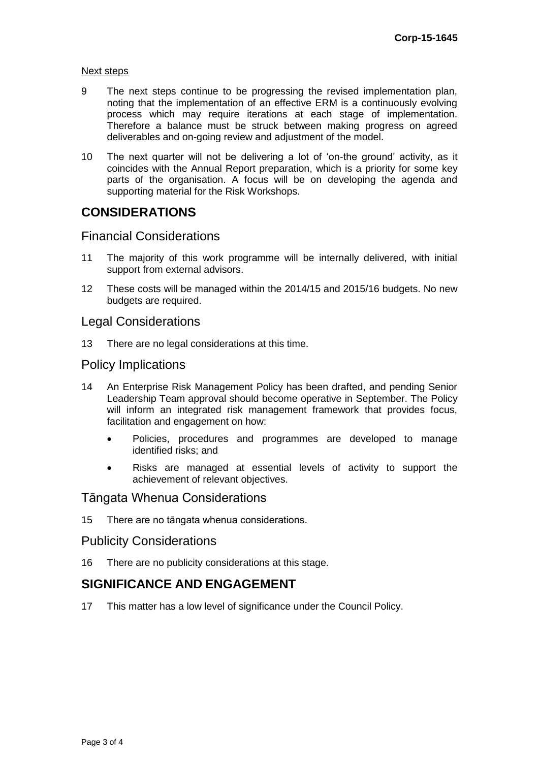#### Next steps

- 9 The next steps continue to be progressing the revised implementation plan, noting that the implementation of an effective ERM is a continuously evolving process which may require iterations at each stage of implementation. Therefore a balance must be struck between making progress on agreed deliverables and on-going review and adjustment of the model.
- 10 The next quarter will not be delivering a lot of 'on-the ground' activity, as it coincides with the Annual Report preparation, which is a priority for some key parts of the organisation. A focus will be on developing the agenda and supporting material for the Risk Workshops.

## **CONSIDERATIONS**

## Financial Considerations

- 11 The majority of this work programme will be internally delivered, with initial support from external advisors.
- 12 These costs will be managed within the 2014/15 and 2015/16 budgets. No new budgets are required.

## Legal Considerations

13 There are no legal considerations at this time.

### Policy Implications

- 14 An Enterprise Risk Management Policy has been drafted, and pending Senior Leadership Team approval should become operative in September. The Policy will inform an integrated risk management framework that provides focus, facilitation and engagement on how:
	- Policies, procedures and programmes are developed to manage identified risks; and
	- Risks are managed at essential levels of activity to support the achievement of relevant objectives.

## Tāngata Whenua Considerations

15 There are no tāngata whenua considerations.

### Publicity Considerations

16 There are no publicity considerations at this stage.

## **SIGNIFICANCE AND ENGAGEMENT**

17 This matter has a low level of significance under the Council Policy.